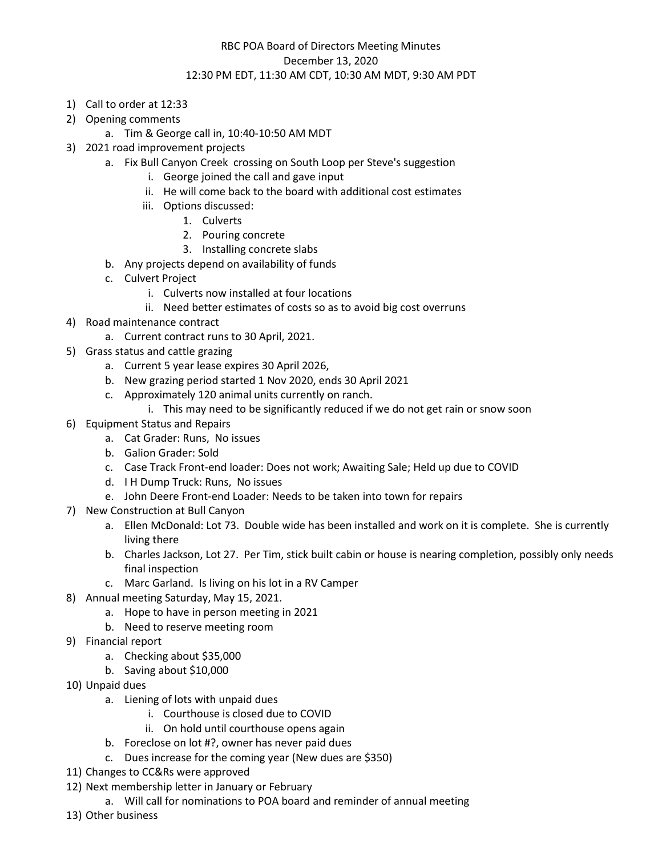## RBC POA Board of Directors Meeting Minutes December 13, 2020 12:30 PM EDT, 11:30 AM CDT, 10:30 AM MDT, 9:30 AM PDT

- 1) Call to order at 12:33
- 2) Opening comments

a. Tim & George call in, 10:40-10:50 AM MDT

- 3) 2021 road improvement projects
	- a. Fix Bull Canyon Creek crossing on South Loop per Steve's suggestion
		- i. George joined the call and gave input
		- ii. He will come back to the board with additional cost estimates
		- iii. Options discussed:
			- 1. Culverts
			- 2. Pouring concrete
			- 3. Installing concrete slabs
	- b. Any projects depend on availability of funds
	- c. Culvert Project
		- i. Culverts now installed at four locations
		- ii. Need better estimates of costs so as to avoid big cost overruns
- 4) Road maintenance contract
	- a. Current contract runs to 30 April, 2021.
- 5) Grass status and cattle grazing
	- a. Current 5 year lease expires 30 April 2026,
	- b. New grazing period started 1 Nov 2020, ends 30 April 2021
	- c. Approximately 120 animal units currently on ranch.
		- i. This may need to be significantly reduced if we do not get rain or snow soon
- 6) Equipment Status and Repairs
	- a. Cat Grader: Runs, No issues
	- b. Galion Grader: Sold
	- c. Case Track Front-end loader: Does not work; Awaiting Sale; Held up due to COVID
	- d. I H Dump Truck: Runs, No issues
	- e. John Deere Front-end Loader: Needs to be taken into town for repairs
- 7) New Construction at Bull Canyon
	- a. Ellen McDonald: Lot 73. Double wide has been installed and work on it is complete. She is currently living there
	- b. Charles Jackson, Lot 27. Per Tim, stick built cabin or house is nearing completion, possibly only needs final inspection
	- c. Marc Garland. Is living on his lot in a RV Camper
- 8) Annual meeting Saturday, May 15, 2021.
	- a. Hope to have in person meeting in 2021
	- b. Need to reserve meeting room
- 9) Financial report
	- a. Checking about \$35,000
	- b. Saving about \$10,000
- 10) Unpaid dues
	- a. Liening of lots with unpaid dues
		- i. Courthouse is closed due to COVID
		- ii. On hold until courthouse opens again
	- b. Foreclose on lot #?, owner has never paid dues
	- c. Dues increase for the coming year (New dues are \$350)
- 11) Changes to CC&Rs were approved
- 12) Next membership letter in January or February
	- a. Will call for nominations to POA board and reminder of annual meeting
- 13) Other business